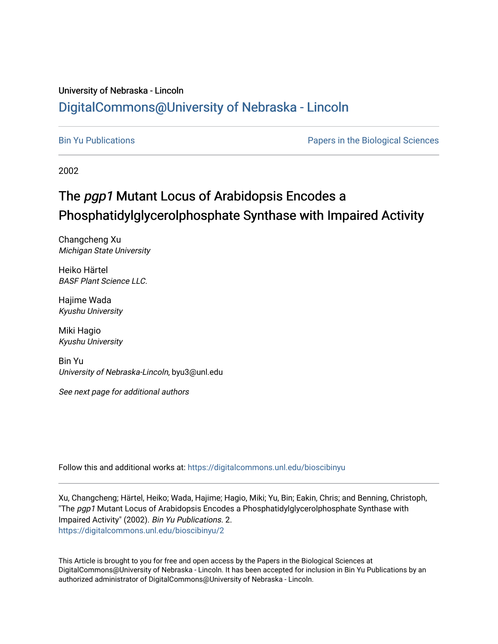### University of Nebraska - Lincoln [DigitalCommons@University of Nebraska - Lincoln](https://digitalcommons.unl.edu/)

[Bin Yu Publications](https://digitalcommons.unl.edu/bioscibinyu) [Papers in the Biological Sciences](https://digitalcommons.unl.edu/bioscipapers) 

2002

# The pgp1 Mutant Locus of Arabidopsis Encodes a Phosphatidylglycerolphosphate Synthase with Impaired Activity

Changcheng Xu Michigan State University

Heiko Härtel BASF Plant Science LLC.

Hajime Wada Kyushu University

Miki Hagio Kyushu University

Bin Yu University of Nebraska-Lincoln, byu3@unl.edu

See next page for additional authors

Follow this and additional works at: [https://digitalcommons.unl.edu/bioscibinyu](https://digitalcommons.unl.edu/bioscibinyu?utm_source=digitalcommons.unl.edu%2Fbioscibinyu%2F2&utm_medium=PDF&utm_campaign=PDFCoverPages) 

Xu, Changcheng; Härtel, Heiko; Wada, Hajime; Hagio, Miki; Yu, Bin; Eakin, Chris; and Benning, Christoph, "The pgp1 Mutant Locus of Arabidopsis Encodes a Phosphatidylglycerolphosphate Synthase with Impaired Activity" (2002). Bin Yu Publications. 2. [https://digitalcommons.unl.edu/bioscibinyu/2](https://digitalcommons.unl.edu/bioscibinyu/2?utm_source=digitalcommons.unl.edu%2Fbioscibinyu%2F2&utm_medium=PDF&utm_campaign=PDFCoverPages) 

This Article is brought to you for free and open access by the Papers in the Biological Sciences at DigitalCommons@University of Nebraska - Lincoln. It has been accepted for inclusion in Bin Yu Publications by an authorized administrator of DigitalCommons@University of Nebraska - Lincoln.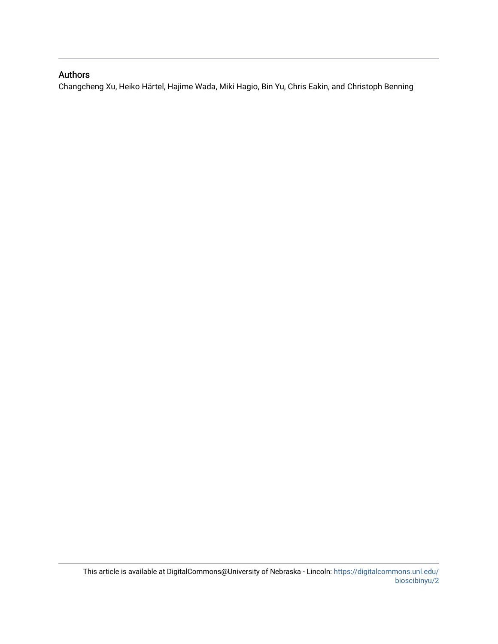### Authors

Changcheng Xu, Heiko Härtel, Hajime Wada, Miki Hagio, Bin Yu, Chris Eakin, and Christoph Benning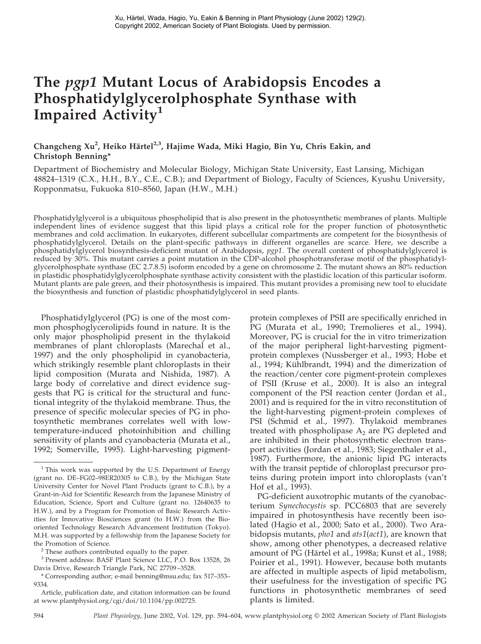## **The** *pgp1* **Mutant Locus of Arabidopsis Encodes a Phosphatidylglycerolphosphate Synthase with Impaired Activity<sup>1</sup>**

Changcheng Xu<sup>2</sup>, Heiko Härtel<sup>2,3</sup>, Hajime Wada, Miki Hagio, Bin Yu, Chris Eakin, and **Christoph Benning\***

Department of Biochemistry and Molecular Biology, Michigan State University, East Lansing, Michigan 48824–1319 (C.X., H.H., B.Y., C.E., C.B.); and Department of Biology, Faculty of Sciences, Kyushu University, Ropponmatsu, Fukuoka 810–8560, Japan (H.W., M.H.)

Phosphatidylglycerol is a ubiquitous phospholipid that is also present in the photosynthetic membranes of plants. Multiple independent lines of evidence suggest that this lipid plays a critical role for the proper function of photosynthetic membranes and cold acclimation. In eukaryotes, different subcellular compartments are competent for the biosynthesis of phosphatidylglycerol. Details on the plant-specific pathways in different organelles are scarce. Here, we describe a phosphatidylglycerol biosynthesis-deficient mutant of Arabidopsis, *pgp1*. The overall content of phosphatidylglycerol is reduced by 30%. This mutant carries a point mutation in the CDP-alcohol phosphotransferase motif of the phosphatidylglycerolphosphate synthase (EC 2.7.8.5) isoform encoded by a gene on chromosome 2. The mutant shows an 80% reduction in plastidic phosphatidylglycerolphosphate synthase activity consistent with the plastidic location of this particular isoform. Mutant plants are pale green, and their photosynthesis is impaired. This mutant provides a promising new tool to elucidate the biosynthesis and function of plastidic phosphatidylglycerol in seed plants.

Phosphatidylglycerol (PG) is one of the most common phosphoglycerolipids found in nature. It is the only major phospholipid present in the thylakoid membranes of plant chloroplasts (Marechal et al., 1997) and the only phospholipid in cyanobacteria, which strikingly resemble plant chloroplasts in their lipid composition (Murata and Nishida, 1987). A large body of correlative and direct evidence suggests that PG is critical for the structural and functional integrity of the thylakoid membrane. Thus, the presence of specific molecular species of PG in photosynthetic membranes correlates well with lowtemperature-induced photoinhibition and chilling sensitivity of plants and cyanobacteria (Murata et al., 1992; Somerville, 1995). Light-harvesting pigmentprotein complexes of PSII are specifically enriched in PG (Murata et al., 1990; Tremolieres et al., 1994). Moreover, PG is crucial for the in vitro trimerization of the major peripheral light-harvesting pigmentprotein complexes (Nussberger et al., 1993; Hobe et al., 1994; Kühlbrandt, 1994) and the dimerization of the reaction/center core pigment-protein complexes of PSII (Kruse et al., 2000). It is also an integral component of the PSI reaction center (Jordan et al., 2001) and is required for the in vitro reconstitution of the light-harvesting pigment-protein complexes of PSI (Schmid et al., 1997). Thylakoid membranes treated with phospholipase  $A_2$  are PG depleted and are inhibited in their photosynthetic electron transport activities (Jordan et al., 1983; Siegenthaler et al., 1987). Furthermore, the anionic lipid PG interacts with the transit peptide of chloroplast precursor proteins during protein import into chloroplasts (van't Hof et al., 1993).

PG-deficient auxotrophic mutants of the cyanobacterium *Synechocystis* sp. PCC6803 that are severely impaired in photosynthesis have recently been isolated (Hagio et al., 2000; Sato et al., 2000). Two Arabidopsis mutants, *pho1* and *ats1*(*act1*), are known that show, among other phenotypes, a decreased relative amount of PG (Härtel et al., 1998a; Kunst et al., 1988; Poirier et al., 1991). However, because both mutants are affected in multiple aspects of lipid metabolism, their usefulness for the investigation of specific PG functions in photosynthetic membranes of seed plants is limited.

<sup>&</sup>lt;sup>1</sup> This work was supported by the U.S. Department of Energy (grant no. DE–FG02–98ER20305 to C.B.), by the Michigan State University Center for Novel Plant Products (grant to C.B.), by a Grant-in-Aid for Scientific Research from the Japanese Ministry of Education, Science, Sport and Culture (grant no. 12640635 to H.W.), and by a Program for Promotion of Basic Research Activities for Innovative Biosciences grant (to H.W.) from the Biooriented Technology Research Advancement Institution (Tokyo). M.H. was supported by a fellowship from the Japanese Society for the Promotion of Science.

<sup>2</sup> These authors contributed equally to the paper.

<sup>3</sup> Present address: BASF Plant Science LLC, P.O. Box 13528, 26 Davis Drive, Research Triangle Park, NC 27709–3528.

<sup>\*</sup> Corresponding author; e-mail benning@msu.edu; fax 517–353– 9334.

Article, publication date, and citation information can be found at www.plantphysiol.org/cgi/doi/10.1104/pp.002725.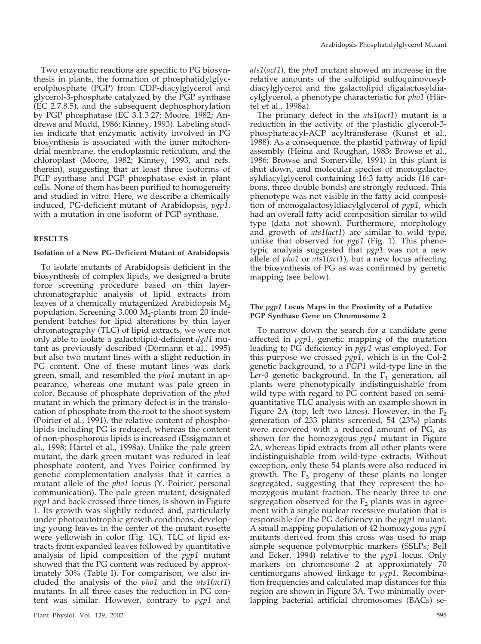Two enzymatic reactions are specific to PG biosynthesis in plants, the formation of phosphatidylglycerolphosphate (PGP) from CDP-diacylglycerol and glycerol-3-phosphate catalyzed by the PGP synthase (EC 2.7.8.5), and the subsequent dephosphorylation by PGP phosphatase (EC 3.1.3.27; Moore, 1982; Andrews and Mudd, 1986; Kinney, 1993). Labeling studies indicate that enzymatic activity involved in PG biosynthesis is associated with the inner mitochondrial membrane, the endoplasmic reticulum, and the chloroplast (Moore, 1982; Kinney, 1993, and refs. therein), suggesting that at least three isoforms of PGP synthase and PGP phosphatase exist in plant cells. None of them has been purified to homogeneity and studied in vitro. Here, we describe a chemically induced, PG-deficient mutant of Arabidopsis, *pgp1*, with a mutation in one isoform of PGP synthase.

### **RESULTS**

#### **Isolation of a New PG-Deficient Mutant of Arabidopsis**

To isolate mutants of Arabidopsis deficient in the biosynthesis of complex lipids, we designed a brute force screening procedure based on thin layerchromatographic analysis of lipid extracts from leaves of a chemically mutagenized Arabidopsis  $M<sub>2</sub>$ population. Screening  $3,000$  M<sub>2</sub>-plants from 20 independent batches for lipid alterations by thin layer chromatography (TLC) of lipid extracts, we were not only able to isolate a galactolipid-deficient *dgd1* mutant as previously described (Dörmann et al., 1995) but also two mutant lines with a slight reduction in PG content. One of these mutant lines was dark green, small, and resembled the *pho1* mutant in appearance, whereas one mutant was pale green in color. Because of phosphate deprivation of the *pho1* mutant in which the primary defect is in the translocation of phosphate from the root to the shoot system (Poirier et al., 1991), the relative content of phospholipids including PG is reduced, whereas the content of non-phosphorous lipids is increased (Essigmann et al., 1998; Härtel et al., 1998a). Unlike the pale green mutant, the dark green mutant was reduced in leaf phosphate content, and Yves Poirier confirmed by genetic complementation analysis that it carries a mutant allele of the *pho1* locus (Y. Poirier, personal communication). The pale green mutant, designated *pgp1* and back-crossed three times, is shown in Figure 1. Its growth was slightly reduced and, particularly under photoautotrophic growth conditions, developing young leaves in the center of the mutant rosette were yellowish in color (Fig. 1C). TLC of lipid extracts from expanded leaves followed by quantitative analysis of lipid composition of the *pgp1* mutant showed that the PG content was reduced by approximately 30% (Table I). For comparison, we also included the analysis of the *pho1* and the *ats1*(*act1*) mutants. In all three cases the reduction in PG content was similar. However, contrary to *pgp1* and

*ats1*(*act1*), the *pho1* mutant showed an increase in the relative amounts of the sulfolipid sulfoquinovosyldiacylglycerol and the galactolipid digalactosyldiacylglycerol, a phenotype characteristic for *pho1* (Ha¨rtel et al., 1998a).

The primary defect in the *ats1*(*act1*) mutant is a reduction in the activity of the plastidic glycerol-3 phosphate:acyl-ACP acyltransferase (Kunst et al., 1988). As a consequence, the plastid pathway of lipid assembly (Heinz and Roughan, 1983; Browse et al., 1986; Browse and Somerville, 1991) in this plant is shut down, and molecular species of monogalactosyldiacylglycerol containing 16:3 fatty acids (16 carbons, three double bonds) are strongly reduced. This phenotype was not visible in the fatty acid composition of monogalactosyldiacylglycerol of *pgp1*, which had an overall fatty acid composition similar to wild type (data not shown). Furthermore, morphology and growth of *ats1*(*act1*) are similar to wild type, unlike that observed for *pgp1* (Fig. 1). This phenotypic analysis suggested that *pgp1* was not a new allele of *pho1* or *ats1*(*act1*), but a new locus affecting the biosynthesis of PG as was confirmed by genetic mapping (see below).

### **The** *pgp1* **Locus Maps in the Proximity of a Putative PGP Synthase Gene on Chromosome 2**

To narrow down the search for a candidate gene affected in *pgp1*, genetic mapping of the mutation leading to PG deficiency in *pgp1* was employed. For this purpose we crossed *pgp1*, which is in the Col-2 genetic background, to a *PGP1* wild-type line in the Ler-0 genetic background. In the  $F_1$  generation, all plants were phenotypically indistinguishable from wild type with regard to PG content based on semiquantitative TLC analysis with an example shown in Figure 2A (top, left two lanes). However, in the  $F_2$ generation of 233 plants screened, 54 (23%) plants were recovered with a reduced amount of PG, as shown for the homozygous *pgp1* mutant in Figure 2A, whereas lipid extracts from all other plants were indistinguishable from wild-type extracts. Without exception, only these 54 plants were also reduced in growth. The  $F_3$  progeny of these plants no longer segregated, suggesting that they represent the homozygous mutant fraction. The nearly three to one segregation observed for the  $F_2$  plants was in agreement with a single nuclear recessive mutation that is responsible for the PG deficiency in the *pgp1* mutant. A small mapping population of 42 homozygous *pgp1* mutants derived from this cross was used to map simple sequence polymorphic markers (SSLPs; Bell and Ecker, 1994) relative to the *pgp1* locus. Only markers on chromosome 2 at approximately 70 centimorgans showed linkage to *pgp1*. Recombination frequencies and calculated map distances for this region are shown in Figure 3A. Two minimally overlapping bacterial artificial chromosomes (BACs) se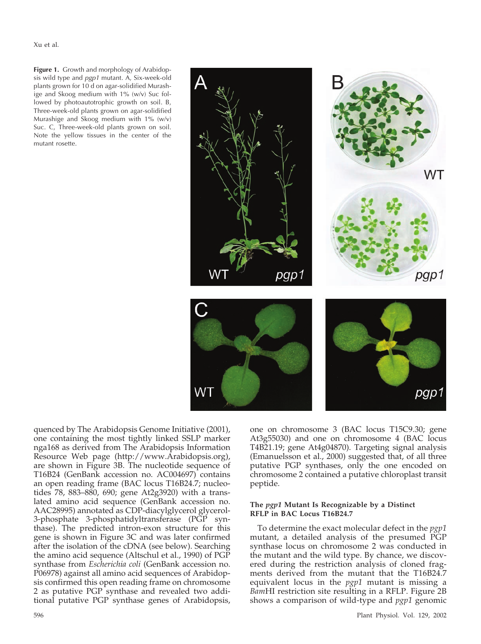Xu et al.

**Figure 1.** Growth and morphology of Arabidopsis wild type and *pgp1* mutant. A, Six-week-old plants grown for 10 d on agar-solidified Murashige and Skoog medium with 1% (w/v) Suc followed by photoautotrophic growth on soil. B, Three-week-old plants grown on agar-solidified Murashige and Skoog medium with 1% (w/v) Suc. C, Three-week-old plants grown on soil. Note the yellow tissues in the center of the mutant rosette.



quenced by The Arabidopsis Genome Initiative (2001), one containing the most tightly linked SSLP marker nga168 as derived from The Arabidopsis Information Resource Web page (http://www.Arabidopsis.org), are shown in Figure 3B. The nucleotide sequence of T16B24 (GenBank accession no. AC004697) contains an open reading frame (BAC locus T16B24.7; nucleotides 78, 883–880, 690; gene At2g3920) with a translated amino acid sequence (GenBank accession no. AAC28995) annotated as CDP-diacylglycerol glycerol-3-phosphate 3-phosphatidyltransferase (PGP synthase). The predicted intron-exon structure for this gene is shown in Figure 3C and was later confirmed after the isolation of the cDNA (see below). Searching the amino acid sequence (Altschul et al., 1990) of PGP synthase from *Escherichia coli* (GenBank accession no. P06978) against all amino acid sequences of Arabidopsis confirmed this open reading frame on chromosome 2 as putative PGP synthase and revealed two additional putative PGP synthase genes of Arabidopsis,

one on chromosome 3 (BAC locus T15C9.30; gene At3g55030) and one on chromosome 4 (BAC locus T4B21.19; gene At4g04870). Targeting signal analysis (Emanuelsson et al., 2000) suggested that, of all three putative PGP synthases, only the one encoded on chromosome 2 contained a putative chloroplast transit peptide.

### **The** *pgp1* **Mutant Is Recognizable by a Distinct RFLP in BAC Locus T16B24.7**

To determine the exact molecular defect in the *pgp1* mutant, a detailed analysis of the presumed PGP synthase locus on chromosome 2 was conducted in the mutant and the wild type. By chance, we discovered during the restriction analysis of cloned fragments derived from the mutant that the T16B24.7 equivalent locus in the *pgp1* mutant is missing a *Bam*HI restriction site resulting in a RFLP. Figure 2B shows a comparison of wild-type and *pgp1* genomic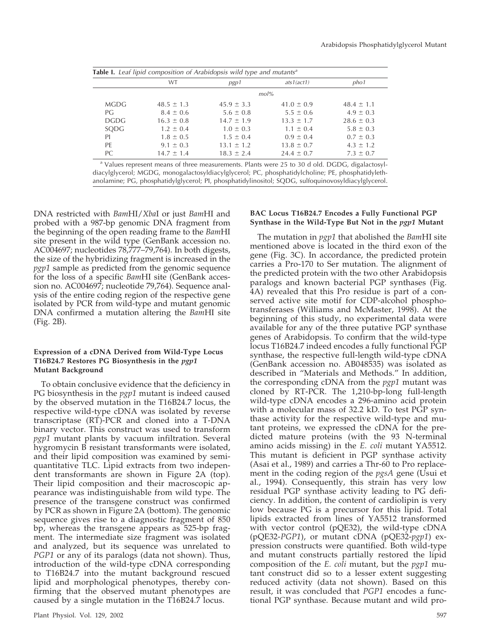|       | WT             | pgp1           | ats1(act1)     | pho1           |
|-------|----------------|----------------|----------------|----------------|
|       |                |                | mol%           |                |
| MGDG  | $48.5 \pm 1.3$ | $45.9 \pm 3.3$ | $41.0 \pm 0.9$ | $48.4 \pm 1.1$ |
| PG    | $8.4 \pm 0.6$  | $5.6 \pm 0.8$  | $5.5 \pm 0.6$  | $4.9 \pm 0.3$  |
| DGDG. | $16.3 \pm 0.8$ | $14.7 \pm 1.9$ | $13.3 \pm 1.7$ | $28.6 \pm 0.3$ |
| SQDG  | $1.2 \pm 0.4$  | $1.0 \pm 0.3$  | $1.1 \pm 0.4$  | $5.8 \pm 0.3$  |
| PI    | $1.8 \pm 0.5$  | $1.5 \pm 0.4$  | $0.9 \pm 0.4$  | $0.7 \pm 0.3$  |
| PE    | $9.1 \pm 0.3$  | $13.1 \pm 1.2$ | $13.8 \pm 0.7$ | $4.3 \pm 1.2$  |
| PC.   | $14.7 \pm 1.4$ | $18.3 \pm 2.4$ | $24.4 \pm 0.7$ | $7.3 \pm 0.7$  |

<sup>a</sup> Values represent means of three measurements. Plants were 25 to 30 d old. DGDG, digalactosyldiacylglycerol; MGDG, monogalactosyldiacylglycerol; PC, phosphatidylcholine; PE, phosphatidylethanolamine; PG, phosphatidylglycerol; PI, phosphatidylinositol; SQDG, sulfoquinovosyldiacylglycerol.

DNA restricted with *Bam*HI/*Xba*I or just *Bam*HI and probed with a 987-bp genomic DNA fragment from the beginning of the open reading frame to the *Bam*HI site present in the wild type (GenBank accession no. AC004697; nucleotides 78,777–79,764). In both digests, the size of the hybridizing fragment is increased in the *pgp1* sample as predicted from the genomic sequence for the loss of a specific *Bam*HI site (GenBank accession no. AC004697; nucleotide 79,764). Sequence analysis of the entire coding region of the respective gene isolated by PCR from wild-type and mutant genomic DNA confirmed a mutation altering the *Bam*HI site (Fig. 2B).

### **Expression of a cDNA Derived from Wild-Type Locus T16B24.7 Restores PG Biosynthesis in the** *pgp1* **Mutant Background**

To obtain conclusive evidence that the deficiency in PG biosynthesis in the *pgp1* mutant is indeed caused by the observed mutation in the T16B24.7 locus, the respective wild-type cDNA was isolated by reverse transcriptase (RT)-PCR and cloned into a T-DNA binary vector. This construct was used to transform *pgp1* mutant plants by vacuum infiltration. Several hygromycin B resistant transformants were isolated, and their lipid composition was examined by semiquantitative TLC. Lipid extracts from two independent transformants are shown in Figure 2A (top). Their lipid composition and their macroscopic appearance was indistinguishable from wild type. The presence of the transgene construct was confirmed by PCR as shown in Figure 2A (bottom). The genomic sequence gives rise to a diagnostic fragment of 850 bp, whereas the transgene appears as 525-bp fragment. The intermediate size fragment was isolated and analyzed, but its sequence was unrelated to *PGP1* or any of its paralogs (data not shown). Thus, introduction of the wild-type cDNA corresponding to T16B24.7 into the mutant background rescued lipid and morphological phenotypes, thereby confirming that the observed mutant phenotypes are caused by a single mutation in the T16B24.7 locus.

### Plant Physiol. Vol. 129, 2002 597

### **BAC Locus T16B24.7 Encodes a Fully Functional PGP Synthase in the Wild-Type But Not in the** *pgp1* **Mutant**

The mutation in *pgp1* that abolished the *Bam*HI site mentioned above is located in the third exon of the gene (Fig. 3C). In accordance, the predicted protein carries a Pro-170 to Ser mutation. The alignment of the predicted protein with the two other Arabidopsis paralogs and known bacterial PGP synthases (Fig. 4A) revealed that this Pro residue is part of a conserved active site motif for CDP-alcohol phosphotransferases (Williams and McMaster, 1998). At the beginning of this study, no experimental data were available for any of the three putative PGP synthase genes of Arabidopsis. To confirm that the wild-type locus T16B24.7 indeed encodes a fully functional PGP synthase, the respective full-length wild-type cDNA (GenBank accession no. AB048535) was isolated as described in "Materials and Methods." In addition, the corresponding cDNA from the *pgp1* mutant was cloned by RT-PCR. The 1,210-bp-long full-length wild-type cDNA encodes a 296-amino acid protein with a molecular mass of 32.2 kD. To test PGP synthase activity for the respective wild-type and mutant proteins, we expressed the cDNA for the predicted mature proteins (with the 93 N-terminal amino acids missing) in the *E. coli* mutant YA5512. This mutant is deficient in PGP synthase activity (Asai et al., 1989) and carries a Thr-60 to Pro replacement in the coding region of the *pgsA* gene (Usui et al., 1994). Consequently, this strain has very low residual PGP synthase activity leading to PG deficiency. In addition, the content of cardiolipin is very low because PG is a precursor for this lipid. Total lipids extracted from lines of YA5512 transformed with vector control (pQE32), the wild-type cDNA (pQE32-*PGP1*), or mutant cDNA (pQE32-*pgp1*) expression constructs were quantified. Both wild-type and mutant constructs partially restored the lipid composition of the *E. coli* mutant, but the *pgp1* mutant construct did so to a lesser extent suggesting reduced activity (data not shown). Based on this result, it was concluded that *PGP1* encodes a functional PGP synthase. Because mutant and wild pro-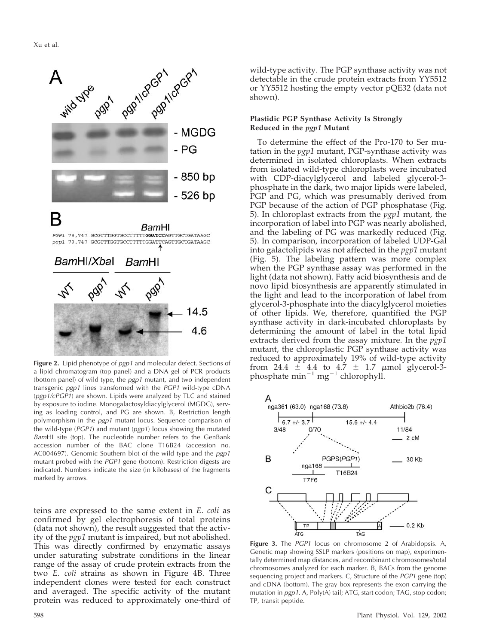

**Figure 2.** Lipid phenotype of *pgp1* and molecular defect. Sections of a lipid chromatogram (top panel) and a DNA gel of PCR products (bottom panel) of wild type, the *pgp1* mutant, and two independent transgenic *pgp1* lines transformed with the *PGP1* wild-type cDNA (*pgp1/cPGP1*) are shown. Lipids were analyzed by TLC and stained by exposure to iodine. Monogalactosyldiacylglycerol (MGDG), serving as loading control, and PG are shown. B, Restriction length polymorphism in the *pgp1* mutant locus. Sequence comparison of the wild-type (*PGP1*) and mutant (*pgp1*) locus showing the mutated *Bam*HI site (top). The nucleotide number refers to the GenBank accession number of the BAC clone T16B24 (accession no. AC004697). Genomic Southern blot of the wild type and the *pgp1* mutant probed with the *PGP1* gene (bottom). Restriction digests are indicated. Numbers indicate the size (in kilobases) of the fragments marked by arrows.

teins are expressed to the same extent in *E. coli* as confirmed by gel electrophoresis of total proteins (data not shown), the result suggested that the activity of the *pgp1* mutant is impaired, but not abolished. This was directly confirmed by enzymatic assays under saturating substrate conditions in the linear range of the assay of crude protein extracts from the two *E. coli* strains as shown in Figure 4B. Three independent clones were tested for each construct and averaged. The specific activity of the mutant protein was reduced to approximately one-third of

wild-type activity. The PGP synthase activity was not detectable in the crude protein extracts from YY5512 or YY5512 hosting the empty vector pQE32 (data not shown).

### **Plastidic PGP Synthase Activity Is Strongly Reduced in the** *pgp1* **Mutant**

To determine the effect of the Pro-170 to Ser mutation in the *pgp1* mutant, PGP-synthase activity was determined in isolated chloroplasts. When extracts from isolated wild-type chloroplasts were incubated with CDP-diacylglycerol and labeled glycerol-3 phosphate in the dark, two major lipids were labeled, PGP and PG, which was presumably derived from PGP because of the action of PGP phosphatase (Fig. 5). In chloroplast extracts from the *pgp1* mutant, the incorporation of label into PGP was nearly abolished, and the labeling of PG was markedly reduced (Fig. 5). In comparison, incorporation of labeled UDP-Gal into galactolipids was not affected in the *pgp1* mutant (Fig. 5). The labeling pattern was more complex when the PGP synthase assay was performed in the light (data not shown). Fatty acid biosynthesis and de novo lipid biosynthesis are apparently stimulated in the light and lead to the incorporation of label from glycerol-3-phosphate into the diacylglycerol moieties of other lipids. We, therefore, quantified the PGP synthase activity in dark-incubated chloroplasts by determining the amount of label in the total lipid extracts derived from the assay mixture. In the *pgp1* mutant, the chloroplastic PGP synthase activity was reduced to approximately 19% of wild-type activity from 24.4  $\pm$  4.4 to 4.7  $\pm$  1.7  $\mu$ mol glycerol-3phosphate  $\text{min}^{-1} \text{ mg}^{-1}$  chlorophyll.



**Figure 3.** The *PGP1* locus on chromosome 2 of Arabidopsis. A, Genetic map showing SSLP markers (positions on map), experimentally determined map distances, and recombinant chromosomes/total chromosomes analyzed for each marker. B, BACs from the genome sequencing project and markers. C, Structure of the *PGP1* gene (top) and cDNA (bottom). The gray box represents the exon carrying the mutation in *pgp1*. A, Poly(A) tail; ATG, start codon; TAG, stop codon; TP, transit peptide.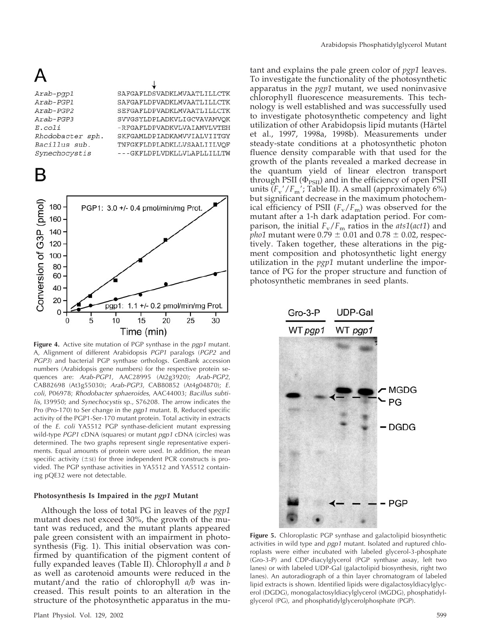Arab-pgp1 Arab-PGP1 Arab-PGP2 Arab-PGP3  $E.$  $coli$ Rhodobacter sph. Bacillus sub. Synechocystis

# B

SAFGAFLDSVADKLMVAATLILLCTK SAFGAFLDPVADKLMVAATLILLCTK SEFGAFLDPVADKLMVAATLILLCTK SVVGSYLDPLADKVLIGCVAVAMVQK -RFGAFLDPVADKVLVAIAMVLVTEH SKFGAMLDPIADKAMVVIALVIITGY TNFGKFLDPLADKLLVSAALIILVOF ---GKFLDPLVDKLLVLAPLLILLTW



**Figure 4.** Active site mutation of PGP synthase in the *pgp1* mutant. A, Alignment of different Arabidopsis *PGP1* paralogs (*PGP2* and *PGP3*) and bacterial PGP synthase orthologs. GenBank accession numbers (Arabidopsis gene numbers) for the respective protein sequences are: *Arab-PGP1*, AAC28995 (At2g3920); *Arab-PGP2*, CAB82698 (At3g55030); *Arab-PGP3*, CAB80852 (At4g04870); *E. coli*, P06978; *Rhodobacter sphaeroides*, AAC44003; *Bacillus subtilis*, I39950; and *Synechocystis* sp., S76208. The arrow indicates the Pro (Pro-170) to Ser change in the *pgp1* mutant. B, Reduced specific activity of the PGP1-Ser-170 mutant protein. Total activity in extracts of the *E. coli* YA5512 PGP synthase-deficient mutant expressing wild-type *PGP1* cDNA (squares) or mutant *pgp1* cDNA (circles) was determined. The two graphs represent single representative experiments. Equal amounts of protein were used. In addition, the mean specific activity  $(\pm s)$  for three independent PCR constructs is provided. The PGP synthase activities in YA5512 and YA5512 containing pQE32 were not detectable.

### **Photosynthesis Is Impaired in the** *pgp1* **Mutant**

Although the loss of total PG in leaves of the *pgp1* mutant does not exceed 30%, the growth of the mutant was reduced, and the mutant plants appeared pale green consistent with an impairment in photosynthesis (Fig. 1). This initial observation was confirmed by quantification of the pigment content of fully expanded leaves (Table II). Chlorophyll *a* and *b* as well as carotenoid amounts were reduced in the mutant/and the ratio of chlorophyll *a/b* was increased. This result points to an alteration in the structure of the photosynthetic apparatus in the mutant and explains the pale green color of *pgp1* leaves. To investigate the functionality of the photosynthetic apparatus in the *pgp1* mutant, we used noninvasive chlorophyll fluorescence measurements. This technology is well established and was successfully used to investigate photosynthetic competency and light utilization of other Arabidopsis lipid mutants (Härtel et al., 1997, 1998a, 1998b). Measurements under steady-state conditions at a photosynthetic photon fluence density comparable with that used for the growth of the plants revealed a marked decrease in the quantum yield of linear electron transport through PSII ( $\Phi_{PSII}$ ) and in the efficiency of open PSII units  $(F_v'/F_m')$ ; Table II). A small (approximately 6%) but significant decrease in the maximum photochemical efficiency of PSII  $(F_v/F_m)$  was observed for the mutant after a 1-h dark adaptation period. For comparison, the initial *F*v/*F*<sup>m</sup> ratios in the *ats1*(*act1*) and *pho1* mutant were  $0.79 \pm 0.01$  and  $0.78 \pm 0.02$ , respectively. Taken together, these alterations in the pigment composition and photosynthetic light energy utilization in the *pgp1* mutant underline the importance of PG for the proper structure and function of photosynthetic membranes in seed plants.



**Figure 5.** Chloroplastic PGP synthase and galactolipid biosynthetic activities in wild type and *pgp1* mutant. Isolated and ruptured chloroplasts were either incubated with labeled glycerol-3-phosphate (Gro-3-P) and CDP-diacylglycerol (PGP synthase assay, left two lanes) or with labeled UDP-Gal (galactolipid biosynthesis, right two lanes). An autoradiograph of a thin layer chromatogram of labeled lipid extracts is shown. Identified lipids were digalactosyldiacylglycerol (DGDG), monogalactosyldiacylglycerol (MGDG), phosphatidylglycerol (PG), and phosphatidylglycerolphosphate (PGP).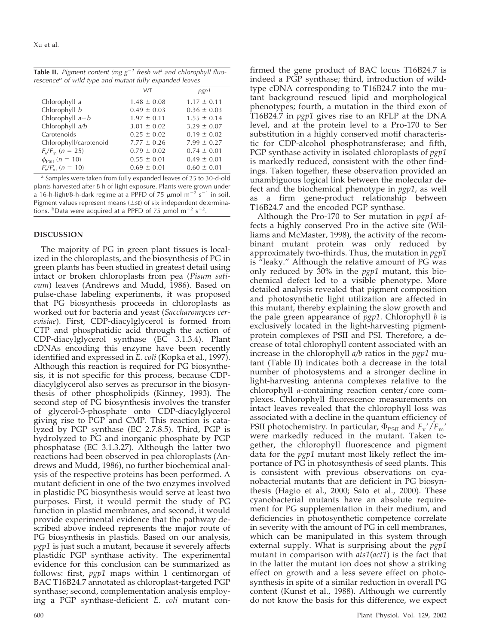|                                                                     |  |  | <b>Table II.</b> Pigment content (mg $g^{-1}$ fresh wt <sup>a</sup> and chlorophyll fluo- |  |
|---------------------------------------------------------------------|--|--|-------------------------------------------------------------------------------------------|--|
| rescence <sup>b</sup> of wild-type and mutant fully expanded leaves |  |  |                                                                                           |  |

|                        | <b>WT</b>       | pgp1            |
|------------------------|-----------------|-----------------|
| Chlorophyll a          | $1.48 \pm 0.08$ | $1.17 \pm 0.11$ |
| Chlorophyll b          | $0.49 \pm 0.03$ | $0.36 \pm 0.03$ |
| Chlorophyll $a+b$      | $1.97 \pm 0.11$ | $1.55 \pm 0.14$ |
| Chlorophyll a/b        | $3.01 \pm 0.02$ | $3.29 \pm 0.07$ |
| Carotenoids            | $0.25 \pm 0.02$ | $0.19 \pm 0.02$ |
| Chlorophyll/carotenoid | $7.77 \pm 0.26$ | $7.99 \pm 0.27$ |
| $F_v/F_m$ (n = 25)     | $0.79 \pm 0.02$ | $0.74 \pm 0.01$ |
| $\phi_{PSII}$ (n = 10) | $0.55 \pm 0.01$ | $0.49 \pm 0.01$ |
| $F_{v}/F_{m}$ (n = 10) | $0.69 \pm 0.01$ | $0.60 \pm 0.01$ |

<sup>a</sup> Samples were taken from fully expanded leaves of 25 to 30-d-old plants harvested after 8 h of light exposure. Plants were grown under a 16-h-light/8-h-dark regime at a PPFD of 75  $\mu$ mol m<sup>-2</sup> s<sup>-1</sup> in soil. Pigment values represent means ( $\pm$ s $\varepsilon$ ) of six independent determinations. <sup>b</sup>Data were acquired at a PPFD of 75  $\mu$ mol m<sup>-2</sup> s<sup>-2</sup>.

### **DISCUSSION**

The majority of PG in green plant tissues is localized in the chloroplasts, and the biosynthesis of PG in green plants has been studied in greatest detail using intact or broken chloroplasts from pea (*Pisum sativum*) leaves (Andrews and Mudd, 1986). Based on pulse-chase labeling experiments, it was proposed that PG biosynthesis proceeds in chloroplasts as worked out for bacteria and yeast (*Saccharomyces cerevisiae*). First, CDP-diacylglycerol is formed from CTP and phosphatidic acid through the action of CDP-diacylglycerol synthase (EC 3.1.3.4). Plant cDNAs encoding this enzyme have been recently identified and expressed in *E. coli* (Kopka et al., 1997). Although this reaction is required for PG biosynthesis, it is not specific for this process, because CDPdiacylglycerol also serves as precursor in the biosynthesis of other phospholipids (Kinney, 1993). The second step of PG biosynthesis involves the transfer of glycerol-3-phosphate onto CDP-diacylglycerol giving rise to PGP and CMP. This reaction is catalyzed by PGP synthase (EC 2.7.8.5). Third, PGP is hydrolyzed to PG and inorganic phosphate by PGP phosphatase (EC 3.1.3.27). Although the latter two reactions had been observed in pea chloroplasts (Andrews and Mudd, 1986), no further biochemical analysis of the respective proteins has been performed. A mutant deficient in one of the two enzymes involved in plastidic PG biosynthesis would serve at least two purposes. First, it would permit the study of PG function in plastid membranes, and second, it would provide experimental evidence that the pathway described above indeed represents the major route of PG biosynthesis in plastids. Based on our analysis, *pgp1* is just such a mutant, because it severely affects plastidic PGP synthase activity. The experimental evidence for this conclusion can be summarized as follows: first, *pgp1* maps within 1 centimorgan of BAC T16B24.7 annotated as chloroplast-targeted PGP synthase; second, complementation analysis employing a PGP synthase-deficient *E. coli* mutant confirmed the gene product of BAC locus T16B24.7 is indeed a PGP synthase; third, introduction of wildtype cDNA corresponding to T16B24.7 into the mutant background rescued lipid and morphological phenotypes; fourth, a mutation in the third exon of T16B24.7 in *pgp1* gives rise to an RFLP at the DNA level, and at the protein level to a Pro-170 to Ser substitution in a highly conserved motif characteristic for CDP-alcohol phosphotransferase; and fifth, PGP synthase activity in isolated chloroplasts of *pgp1* is markedly reduced, consistent with the other findings. Taken together, these observation provided an unambiguous logical link between the molecular defect and the biochemical phenotype in *pgp1*, as well as a firm gene-product relationship between T16B24.7 and the encoded PGP synthase.

Although the Pro-170 to Ser mutation in *pgp1* affects a highly conserved Pro in the active site (Williams and McMaster, 1998), the activity of the recombinant mutant protein was only reduced by approximately two-thirds. Thus, the mutation in *pgp1* is "leaky." Although the relative amount of PG was only reduced by 30% in the *pgp1* mutant, this biochemical defect led to a visible phenotype. More detailed analysis revealed that pigment composition and photosynthetic light utilization are affected in this mutant, thereby explaining the slow growth and the pale green appearance of *pgp1*. Chlorophyll *b* is exclusively located in the light-harvesting pigmentprotein complexes of PSII and PSI. Therefore, a decrease of total chlorophyll content associated with an increase in the chlorophyll *a/b* ratios in the *pgp1* mutant (Table II) indicates both a decrease in the total number of photosystems and a stronger decline in light-harvesting antenna complexes relative to the chlorophyll *a*-containing reaction center/core complexes. Chlorophyll fluorescence measurements on intact leaves revealed that the chlorophyll loss was associated with a decline in the quantum efficiency of PSII photochemistry. In particular,  $\Phi_{PSII}$  and  $F_v'/F_m'$ were markedly reduced in the mutant. Taken together, the chlorophyll fluorescence and pigment data for the *pgp1* mutant most likely reflect the importance of PG in photosynthesis of seed plants. This is consistent with previous observations on cyanobacterial mutants that are deficient in PG biosynthesis (Hagio et al., 2000; Sato et al., 2000). These cyanobacterial mutants have an absolute requirement for PG supplementation in their medium, and deficiencies in photosynthetic competence correlate in severity with the amount of PG in cell membranes, which can be manipulated in this system through external supply. What is surprising about the *pgp1* mutant in comparison with *ats1*(*act1*) is the fact that in the latter the mutant ion does not show a striking effect on growth and a less severe effect on photosynthesis in spite of a similar reduction in overall PG content (Kunst et al., 1988). Although we currently do not know the basis for this difference, we expect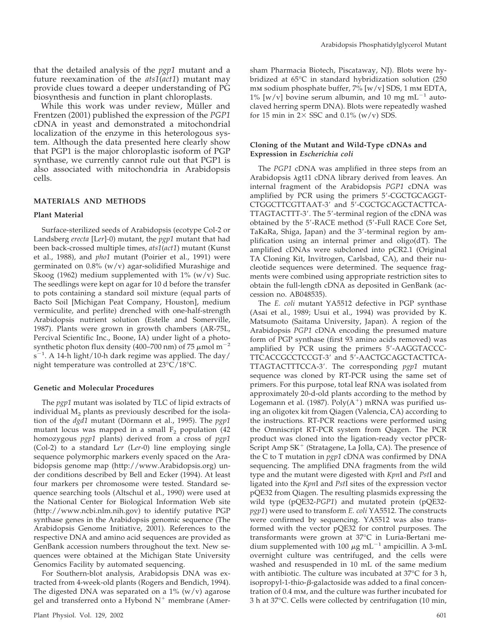that the detailed analysis of the *pgp1* mutant and a future reexamination of the *ats1*(*act1*) mutant may provide clues toward a deeper understanding of PG biosynthesis and function in plant chloroplasts.

While this work was under review, Müller and Frentzen (2001) published the expression of the *PGP1* cDNA in yeast and demonstrated a mitochondrial localization of the enzyme in this heterologous system. Although the data presented here clearly show that PGP1 is the major chloroplastic isoform of PGP synthase, we currently cannot rule out that PGP1 is also associated with mitochondria in Arabidopsis cells.

### **MATERIALS AND METHODS**

### **Plant Material**

Surface-sterilized seeds of Arabidopsis (ecotype Col-2 or Landsberg *erecta* [L*er*]*-*0) mutant, the *pgp1* mutant that had been back-crossed multiple times, *ats1*(*act1*) mutant (Kunst et al., 1988), and *pho1* mutant (Poirier et al., 1991) were germinated on 0.8% (w/v) agar-solidified Murashige and Skoog (1962) medium supplemented with  $1\%$  (w/v) Suc. The seedlings were kept on agar for 10 d before the transfer to pots containing a standard soil mixture (equal parts of Bacto Soil [Michigan Peat Company, Houston], medium vermiculite, and perlite) drenched with one-half-strength Arabidopsis nutrient solution (Estelle and Somerville, 1987). Plants were grown in growth chambers (AR-75L, Percival Scientific Inc., Boone, IA) under light of a photosynthetic photon flux density (400–700 nm) of 75  $\mu$ mol m<sup>-2</sup>  $s^{-1}$ . A 14-h light/10-h dark regime was applied. The day/ night temperature was controlled at 23°C/18°C.

#### **Genetic and Molecular Procedures**

The *pgp1* mutant was isolated by TLC of lipid extracts of individual  $M<sub>2</sub>$  plants as previously described for the isolation of the *dgd1* mutant (Dörmann et al., 1995). The *pgp1* mutant locus was mapped in a small  $F_2$  population (42 homozygous *pgp1* plants) derived from a cross of *pgp1* (Col-2) to a standard L*er* (L*er*-0) line employing single sequence polymorphic markers evenly spaced on the Arabidopsis genome map (http://www.Arabidopsis.org) under conditions described by Bell and Ecker (1994). At least four markers per chromosome were tested. Standard sequence searching tools (Altschul et al., 1990) were used at the National Center for Biological Information Web site (http://www.ncbi.nlm.nih.gov) to identify putative PGP synthase genes in the Arabidopsis genomic sequence (The Arabidopsis Genome Initiative, 2001). References to the respective DNA and amino acid sequences are provided as GenBank accession numbers throughout the text. New sequences were obtained at the Michigan State University Genomics Facility by automated sequencing.

For Southern-blot analysis, Arabidopsis DNA was extracted from 4-week-old plants (Rogers and Bendich, 1994). The digested DNA was separated on a  $1\%$  (w/v) agarose gel and transferred onto a Hybond  $N^+$  membrane (Amersham Pharmacia Biotech, Piscataway, NJ). Blots were hybridized at 65°C in standard hybridization solution (250 mm sodium phosphate buffer, 7% [w/v] SDS, 1 mm EDTA,  $1\%$  [w/v] bovine serum albumin, and 10 mg mL<sup>-1</sup> autoclaved herring sperm DNA). Blots were repeatedly washed for 15 min in  $2 \times$  SSC and 0.1% (w/v) SDS.

### **Cloning of the Mutant and Wild-Type cDNAs and Expression in** *Escherichia coli*

The *PGP1* cDNA was amplified in three steps from an Arabidopsis  $\lambda$ gt11 cDNA library derived from leaves. An internal fragment of the Arabidopsis *PGP1* cDNA was amplified by PCR using the primers 5'-CGCTGCAGGT-CTGGCTTCGTTAAT-3' and 5'-CGCTGCAGCTACTTCA-TTAGTACTTT-3'. The 5'-terminal region of the cDNA was obtained by the 5-RACE method (5-Full RACE Core Set, TaKaRa, Shiga, Japan) and the 3'-terminal region by amplification using an internal primer and oligo(dT). The amplified cDNAs were subcloned into pCR2.1 (Original TA Cloning Kit, Invitrogen, Carlsbad, CA), and their nucleotide sequences were determined. The sequence fragments were combined using appropriate restriction sites to obtain the full-length cDNA as deposited in GenBank (accession no. AB048535).

The *E. coli* mutant YA5512 defective in PGP synthase (Asai et al., 1989; Usui et al., 1994) was provided by K. Matsumoto (Saitama University, Japan). A region of the Arabidopsis *PGP1* cDNA encoding the presumed mature form of PGP synthase (first 93 amino acids removed) was amplified by PCR using the primers 5-AAGGTACCC-TTCACCGCCTCCGT-3 and 5-AACTGCAGCTACTTCA-TTAGTACTTTCCA-3. The corresponding *pgp1* mutant sequence was cloned by RT-PCR using the same set of primers. For this purpose, total leaf RNA was isolated from approximately 20-d-old plants according to the method by Logemann et al. (1987).  $Poly(A^+)$  mRNA was purified using an oligotex kit from Qiagen (Valencia, CA) according to the instructions. RT-PCR reactions were performed using the Omniscript RT-PCR system from Qiagen. The PCR product was cloned into the ligation-ready vector pPCR-Script Amp SK<sup>+</sup> (Stratagene, La Jolla, CA). The presence of the C to T mutation in *pgp1* cDNA was confirmed by DNA sequencing. The amplified DNA fragments from the wild type and the mutant were digested with *Kpn*I and *Pst*I and ligated into the *Kpn*I and *Pst*I sites of the expression vector pQE32 from Qiagen. The resulting plasmids expressing the wild type (pQE32-*PGP1*) and mutated protein (pQE32 *pgp1*) were used to transform *E. coli* YA5512. The constructs were confirmed by sequencing. YA5512 was also transformed with the vector pQE32 for control purposes. The transformants were grown at 37°C in Luria-Bertani medium supplemented with 100  $\mu$ g mL<sup>-1</sup> ampicillin. A 3-mL overnight culture was centrifuged, and the cells were washed and resuspended in 10 mL of the same medium with antibiotic. The culture was incubated at 37°C for 3 h, isopropyl-1-thio- $\beta$ -galactoside was added to a final concentration of 0.4 mm, and the culture was further incubated for 3 h at 37°C. Cells were collected by centrifugation (10 min,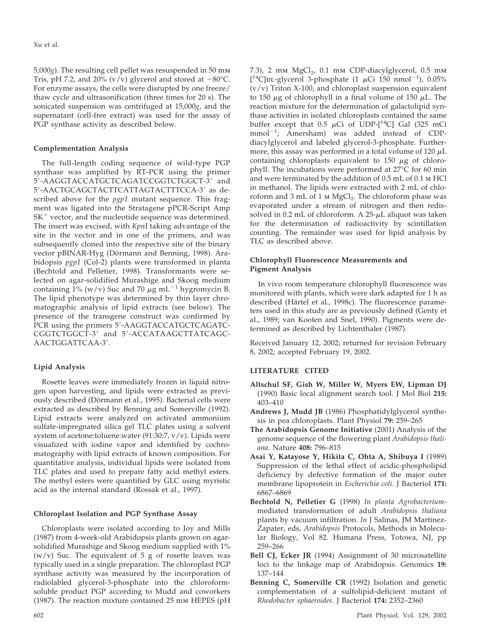5,000*g*). The resulting cell pellet was resuspended in 50 mm Tris, pH 7.2, and 20% (v/v) glycerol and stored at  $-80^{\circ}$ C. For enzyme assays, the cells were disrupted by one freeze/ thaw cycle and ultrasonification (three times for 20 s). The sonicated suspension was centrifuged at 15,000*g*, and the supernatant (cell-free extract) was used for the assay of PGP synthase activity as described below.

### **Complementation Analysis**

The full-length coding sequence of wild-type PGP synthase was amplified by RT-PCR using the primer 5-AAGGTACCATGCTCAGATCCGGTCTGGCT-3 and 5'-AACTGCAGCTACTTCATTAGTACTTTCCA-3' as described above for the *pgp1* mutant sequence. This fragment was ligated into the Stratagene pPCR-Script Amp  $SK<sup>+</sup>$  vector, and the nucleotide sequence was determined. The insert was excised, with *Kpn*I taking advantage of the site in the vector and in one of the primers, and was subsequently cloned into the respective site of the binary vector pBINAR-Hyg (Dörmann and Benning, 1998). Arabidopsis *pgp1* (Col-2) plants were transformed in planta (Bechtold and Pelletier, 1998). Transformants were selected on agar-solidified Murashige and Skoog medium containing  $1\%$  (w/v) Suc and 70  $\mu$ g mL<sup>-1</sup> hygromycin B. The lipid phenotype was determined by thin layer chromatographic analysis of lipid extracts (see below). The presence of the transgene construct was confirmed by PCR using the primers 5'-AAGGTACCATGCTCAGATC-CGGTCTGGCT-3' and 5'-ACCATAAGCTTATCAGC-AACTGGATTCAA-3.

### **Lipid Analysis**

Rosette leaves were immediately frozen in liquid nitrogen upon harvesting, and lipids were extracted as previously described (Dörmann et al., 1995). Bacterial cells were extracted as described by Benning and Somerville (1992). Lipid extracts were analyzed on activated ammonium sulfate-impregnated silica gel TLC plates using a solvent system of acetone:toluene:water  $(91:30:7, v/v)$ . Lipids were visualized with iodine vapor and identified by cochromatography with lipid extracts of known composition. For quantitative analysis, individual lipids were isolated from TLC plates and used to prepare fatty acid methyl esters. The methyl esters were quantified by GLC using myristic acid as the internal standard (Rossak et al., 1997).

### **Chloroplast Isolation and PGP Synthase Assay**

Chloroplasts were isolated according to Joy and Mills (1987) from 4-week-old Arabidopsis plants grown on agarsolidified Murashige and Skoog medium supplied with 1%  $(w/v)$  Suc. The equivalent of 5 g of rosette leaves was typically used in a single preparation. The chloroplast PGP synthase activity was measured by the incorporation of radiolabled glycerol-3-phosphate into the chloroformsoluble product PGP according to Mudd and coworkers (1987). The reaction mixture contained 25 mm HEPES (pH

7.3), 2 mm  $MgCl<sub>2</sub>$ , 0.1 mm CDP-diacylglycerol, 0.5 mm [<sup>14</sup>C]DL-glycerol 3-phosphate (1  $\mu$ Ci 150 nmol<sup>-1</sup>), 0.05%  $(v/v)$  Triton X-100, and chloroplast suspension equivalent to 150  $\mu$ g of chlorophyll in a final volume of 150  $\mu$ L. The reaction mixture for the determination of galactolipid synthase activities in isolated chloroplasts contained the same buffer except that 0.5  $\mu$ Ci of UDP-[<sup>14</sup>C] Gal (325 mCi mmol<sup>-1</sup>; Amersham) was added instead of CDPdiacylglycerol and labeled glycerol-3-phosphate. Furthermore, this assay was performed in a total volume of 120  $\mu$ L containing chloroplasts equivalent to  $150 \mu g$  of chlorophyll. The incubations were performed at 27°C for 60 min and were terminated by the addition of 0.5 mL of 0.1 m HCl in methanol. The lipids were extracted with 2 mL of chloroform and 3 mL of 1 M MgCl<sub>2</sub>. The chloroform phase was evaporated under a stream of nitrogen and then redissolved in  $0.2$  mL of chloroform. A  $25-\mu L$  aliquot was taken for the determination of radioactivity by scintillation counting. The remainder was used for lipid analysis by TLC as described above.

### **Chlorophyll Fluorescence Measurements and Pigment Analysis**

In vivo room temperature chlorophyll fluorescence was monitored with plants, which were dark adapted for 1 h as described (Härtel et al., 1998c). The fluorescence parameters used in this study are as previously defined (Genty et al., 1989; van Kooten and Snel, 1990). Pigments were determined as described by Lichtenthaler (1987).

Received January 12, 2002; returned for revision February 8, 2002; accepted February 19, 2002.

### **LITERATURE CITED**

- **Altschul SF, Gish W, Miller W, Myers EW, Lipman DJ** (1990) Basic local alignment search tool. J Mol Biol **215:** 403–410
- **Andrews J, Mudd JB** (1986) Phosphatidylglycerol synthesis in pea chloroplasts. Plant Physiol **79:** 259–265
- **The Arabidopsis Genome Initiative** (2001) Analysis of the genome sequence of the flowering plant *Arabidopsis thaliana*. Nature **408:** 796–815
- **Asai Y, Katayose Y, Hikita C, Ohta A, Shibuya I** (1989) Suppression of the lethal effect of acidic-phospholipid deficiency by defective formation of the major outer membrane lipoprotein in *Escherichia coli*. J Bacteriol **171:** 6867–6869
- **Bechtold N, Pelletier G** (1998) *In planta Agrobacterium*mediated transformation of adult *Arabidopsis thaliana* plants by vacuum infiltration. *In* J Salinas, JM Martinez-Zapater, eds, *Arabidopsis* Protocols, Methods in Molecular Biology, Vol 82. Humana Press, Totowa, NJ, pp 259–266
- **Bell CJ, Ecker JR** (1994) Assignment of 30 microsatellite loci to the linkage map of Arabidopsis. Genomics **19:** 137–144
- **Benning C, Somerville CR** (1992) Isolation and genetic complementation of a sulfolipid-deficient mutant of *Rhodobacter sphaeroides*. J Bacteriol **174:** 2352–2360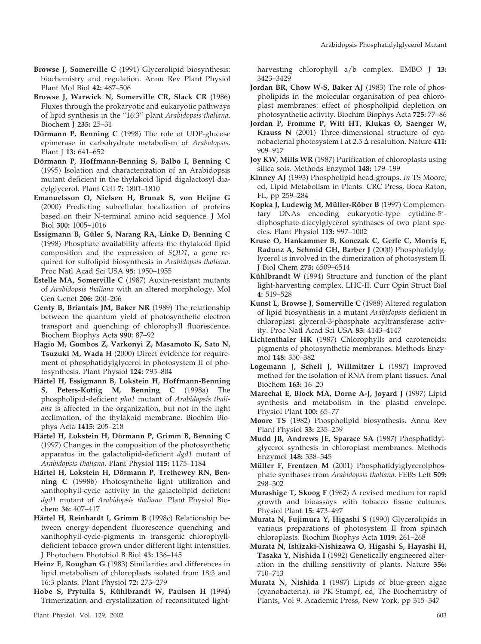- **Browse J, Somerville C** (1991) Glycerolipid biosynthesis: biochemistry and regulation. Annu Rev Plant Physiol Plant Mol Biol **42:** 467–506
- **Browse J, Warwick N, Somerville CR, Slack CR** (1986) Fluxes through the prokaryotic and eukaryotic pathways of lipid synthesis in the "16:3" plant *Arabidopsis thaliana*. Biochem J **235:** 25–31
- **Dörmann P, Benning C** (1998) The role of UDP-glucose epimerase in carbohydrate metabolism of *Arabidopsis*. Plant J **13:** 641–652
- Dörmann P, Hoffmann-Benning S, Balbo I, Benning C (1995) Isolation and characterization of an Arabidopsis mutant deficient in the thylakoid lipid digalactosyl diacylglycerol. Plant Cell **7:** 1801–1810
- **Emanuelsson O, Nielsen H, Brunak S, von Heijne G** (2000) Predicting subcellular localization of proteins based on their N-terminal amino acid sequence. J Mol Biol **300:** 1005–1016
- Essigmann B, Güler S, Narang RA, Linke D, Benning C (1998) Phosphate availability affects the thylakoid lipid composition and the expression of *SQD1*, a gene required for sulfolipid biosynthesis in *Arabidopsis thaliana*. Proc Natl Acad Sci USA **95:** 1950–1955
- **Estelle MA, Somerville C** (1987) Auxin-resistant mutants of *Arabidopsis thaliana* with an altered morphology. Mol Gen Genet **206:** 200–206
- **Genty B, Briantais JM, Baker NR** (1989) The relationship between the quantum yield of photosynthetic electron transport and quenching of chlorophyll fluorescence. Biochem Biophys Acta **990:** 87–92
- **Hagio M, Gombos Z, Varkonyi Z, Masamoto K, Sato N, Tsuzuki M, Wada H** (2000) Direct evidence for requirement of phosphatidylglycerol in photosystem II of photosynthesis. Plant Physiol **124:** 795–804
- Härtel H, Essigmann B, Lokstein H, Hoffmann-Benning **S, Peters-Kottig M, Benning C** (1998a) The phospholipid-deficient *pho1* mutant of *Arabidopsis thaliana* is affected in the organization, but not in the light acclimation, of the thylakoid membrane. Biochim Biophys Acta **1415:** 205–218
- Härtel H, Lokstein H, Dörmann P, Grimm B, Benning C (1997) Changes in the composition of the photosynthetic apparatus in the galactolipid-deficient *dgd1* mutant of *Arabidopsis thaliana*. Plant Physiol **115:** 1175–1184
- Härtel H, Lokstein H, Dörmann P, Trethewey RN, Ben**ning C** (1998b) Photosynthetic light utilization and xanthophyll-cycle activity in the galactolipid deficient *dgd1* mutant of *Arabidopsis thaliana*. Plant Physiol Biochem **36:** 407–417
- **Härtel H, Reinhardt I, Grimm B** (1998c) Relationship between energy-dependent fluorescence quenching and xanthophyll-cycle-pigments in transgenic chlorophylldeficient tobacco grown under different light intensities. J Photochem Photobiol B Biol **43:** 136–145
- **Heinz E, Roughan G** (1983) Similarities and differences in lipid metabolism of chloroplasts isolated from 18:3 and 16:3 plants. Plant Physiol **72:** 273–279
- Hobe S, Prytulla S, Kühlbrandt W, Paulsen H (1994) Trimerization and crystallization of reconstituted light-

harvesting chlorophyll a/b complex. EMBO J **13:** 3423–3429

- **Jordan BR, Chow W-S, Baker AJ** (1983) The role of phospholipids in the molecular organisation of pea chloroplast membranes: effect of phospholipid depletion on photosynthetic activity. Biochim Biophys Acta **725:** 77–86
- **Jordan P, Fromme P, Witt HT, Klukas O, Saenger W, Krauss N** (2001) Three-dimensional structure of cyanobacterial photosystem I at 2.5  $\Delta$  resolution. Nature 411: 909–917
- **Joy KW, Mills WR** (1987) Purification of chloroplasts using silica sols. Methods Enzymol **148:** 179–199
- **Kinney AJ** (1993) Phospholipid head groups. *In* TS Moore, ed, Lipid Metabolism in Plants. CRC Press, Boca Raton, FL, pp 259–284
- Kopka J, Ludewig M, Müller-Röber B (1997) Complementary DNAs encoding eukaryotic-type cytidine-5 diphosphate-diacylglycerol synthases of two plant species. Plant Physiol **113:** 997–1002
- **Kruse O, Hankammer B, Konczak C, Gerle C, Morris E, Radunz A, Schmid GH, Barber J** (2000) Phosphatidylglycerol is involved in the dimerization of photosystem II. J Biol Chem **275:** 6509–6514
- **Kühlbrandt W** (1994) Structure and function of the plant light-harvesting complex, LHC-II. Curr Opin Struct Biol **4:** 519–528
- **Kunst L, Browse J, Somerville C** (1988) Altered regulation of lipid biosynthesis in a mutant *Arabidopsis* deficient in chloroplast glycerol-3-phosphate acyltransferase activity. Proc Natl Acad Sci USA **85:** 4143–4147
- **Lichtenthaler HK** (1987) Chlorophylls and carotenoids: pigments of photosynthetic membranes. Methods Enzymol **148:** 350–382
- **Logemann J, Schell J, Willmitzer L** (1987) Improved method for the isolation of RNA from plant tissues. Anal Biochem **163:** 16–20
- **Marechal E, Block MA, Dorne A-J, Joyard J** (1997) Lipid synthesis and metabolism in the plastid envelope. Physiol Plant **100:** 65–77
- **Moore TS** (1982) Phospholipid biosynthesis. Annu Rev Plant Physiol **33:** 235–259
- **Mudd JB, Andrews JE, Sparace SA** (1987) Phosphatidylglycerol synthesis in chloroplast membranes. Methods Enzymol **148:** 338–345
- **Müller F, Frentzen M** (2001) Phosphatidylglycerolphosphate synthases from *Arabidopsis thaliana*. FEBS Lett **509:** 298–302
- **Murashige T, Skoog F** (1962) A revised medium for rapid growth and bioassays with tobacco tissue cultures. Physiol Plant **15:** 473–497
- **Murata N, Fujimura Y, Higashi S** (1990) Glycerolipids in various preparations of photosystem II from spinach chloroplasts. Biochim Biophys Acta **1019:** 261–268
- **Murata N, Ishizaki-Nishizawa O, Higashi S, Hayashi H, Tasaka Y, Nishida I** (1992) Genetically engineered alteration in the chilling sensitivity of plants. Nature **356:** 710–713
- **Murata N, Nishida I** (1987) Lipids of blue-green algae (cyanobacteria). *In* PK Stumpf, ed, The Biochemistry of Plants, Vol 9. Academic Press, New York, pp 315–347